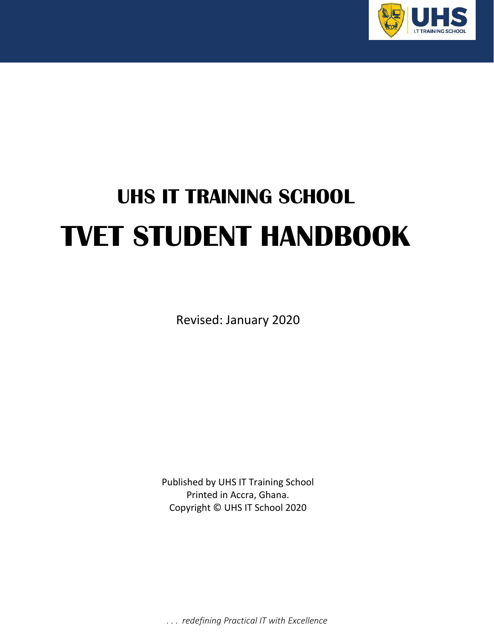

# **UHS IT TRAINING SCHOOL TVET STUDENT HANDBOOK**

Revised: January 2020

Published by UHS IT Training School Printed in Accra, Ghana. Copyright © UHS IT School 2020

. . . *redefining Practical IT with Excellence*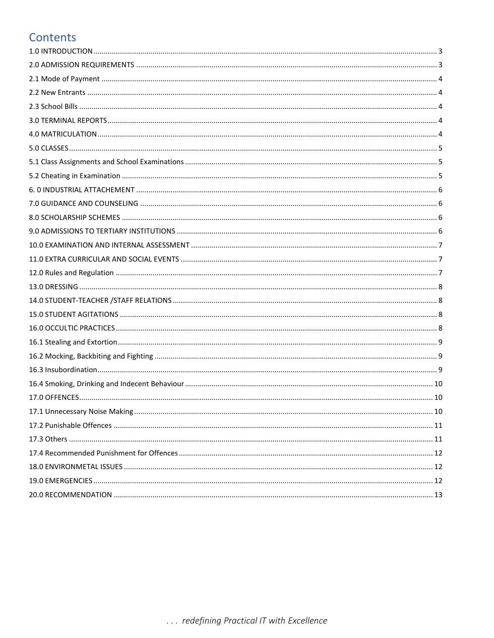## Contents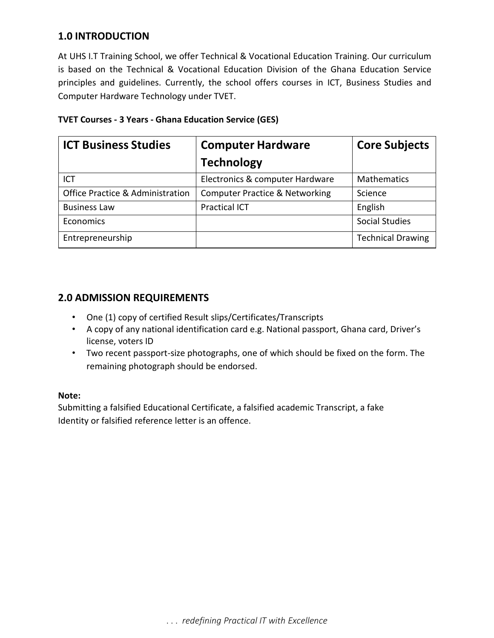## <span id="page-2-0"></span>**1.0 INTRODUCTION**

At UHS I.T Training School, we offer Technical & Vocational Education Training. Our curriculum is based on the Technical & Vocational Education Division of the Ghana Education Service principles and guidelines. Currently, the school offers courses in ICT, Business Studies and Computer Hardware Technology under TVET.

| <b>ICT Business Studies</b>                 | <b>Computer Hardware</b>                  | <b>Core Subjects</b>     |
|---------------------------------------------|-------------------------------------------|--------------------------|
|                                             | <b>Technology</b>                         |                          |
| ICT                                         | Electronics & computer Hardware           | <b>Mathematics</b>       |
| <b>Office Practice &amp; Administration</b> | <b>Computer Practice &amp; Networking</b> | Science                  |
| <b>Business Law</b>                         | <b>Practical ICT</b>                      | English                  |
| Economics                                   |                                           | <b>Social Studies</b>    |
| Entrepreneurship                            |                                           | <b>Technical Drawing</b> |

#### **TVET Courses - 3 Years - Ghana Education Service (GES)**

## <span id="page-2-1"></span>**2.0 ADMISSION REQUIREMENTS**

- One (1) copy of certified Result slips/Certificates/Transcripts
- A copy of any national identification card e.g. National passport, Ghana card, Driver's license, voters ID
- Two recent passport-size photographs, one of which should be fixed on the form. The remaining photograph should be endorsed.

#### **Note:**

Submitting a falsified Educational Certificate, a falsified academic Transcript, a fake Identity or falsified reference letter is an offence.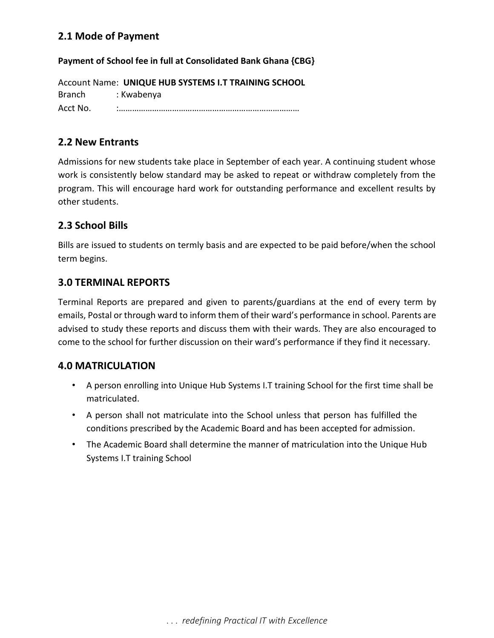## <span id="page-3-0"></span>**2.1 Mode of Payment**

#### **Payment of School fee in full at Consolidated Bank Ghana {CBG}**

Account Name: **UNIQUE HUB SYSTEMS I.T TRAINING SCHOOL**  Branch : Kwabenya Acct No. :………………………………………………………………………

## <span id="page-3-1"></span>**2.2 New Entrants**

Admissions for new students take place in September of each year. A continuing student whose work is consistently below standard may be asked to repeat or withdraw completely from the program. This will encourage hard work for outstanding performance and excellent results by other students.

## <span id="page-3-2"></span>**2.3 School Bills**

Bills are issued to students on termly basis and are expected to be paid before/when the school term begins.

#### <span id="page-3-3"></span>**3.0 TERMINAL REPORTS**

Terminal Reports are prepared and given to parents/guardians at the end of every term by emails, Postal or through ward to inform them of their ward's performance in school. Parents are advised to study these reports and discuss them with their wards. They are also encouraged to come to the school for further discussion on their ward's performance if they find it necessary.

#### <span id="page-3-4"></span>**4.0 MATRICULATION**

- A person enrolling into Unique Hub Systems I.T training School for the first time shall be matriculated.
- A person shall not matriculate into the School unless that person has fulfilled the conditions prescribed by the Academic Board and has been accepted for admission.
- The Academic Board shall determine the manner of matriculation into the Unique Hub Systems I.T training School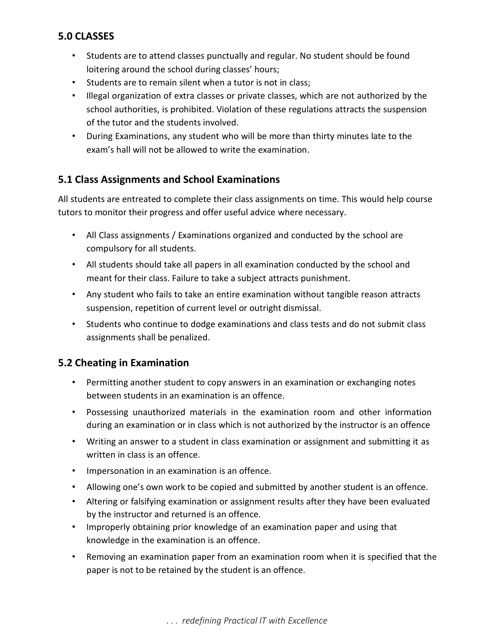## <span id="page-4-0"></span>**5.0 CLASSES**

- Students are to attend classes punctually and regular. No student should be found loitering around the school during classes' hours;
- Students are to remain silent when a tutor is not in class;
- Illegal organization of extra classes or private classes, which are not authorized by the school authorities, is prohibited. Violation of these regulations attracts the suspension of the tutor and the students involved.
- During Examinations, any student who will be more than thirty minutes late to the exam's hall will not be allowed to write the examination.

## <span id="page-4-1"></span>**5.1 Class Assignments and School Examinations**

All students are entreated to complete their class assignments on time. This would help course tutors to monitor their progress and offer useful advice where necessary.

- All Class assignments / Examinations organized and conducted by the school are compulsory for all students.
- All students should take all papers in all examination conducted by the school and meant for their class. Failure to take a subject attracts punishment.
- Any student who fails to take an entire examination without tangible reason attracts suspension, repetition of current level or outright dismissal.
- Students who continue to dodge examinations and class tests and do not submit class assignments shall be penalized.

## <span id="page-4-2"></span>**5.2 Cheating in Examination**

- Permitting another student to copy answers in an examination or exchanging notes between students in an examination is an offence.
- Possessing unauthorized materials in the examination room and other information during an examination or in class which is not authorized by the instructor is an offence
- Writing an answer to a student in class examination or assignment and submitting it as written in class is an offence.
- Impersonation in an examination is an offence.
- Allowing one's own work to be copied and submitted by another student is an offence.
- Altering or falsifying examination or assignment results after they have been evaluated by the instructor and returned is an offence.
- Improperly obtaining prior knowledge of an examination paper and using that knowledge in the examination is an offence.
- Removing an examination paper from an examination room when it is specified that the paper is not to be retained by the student is an offence.

. . . *redefining Practical IT with Excellence*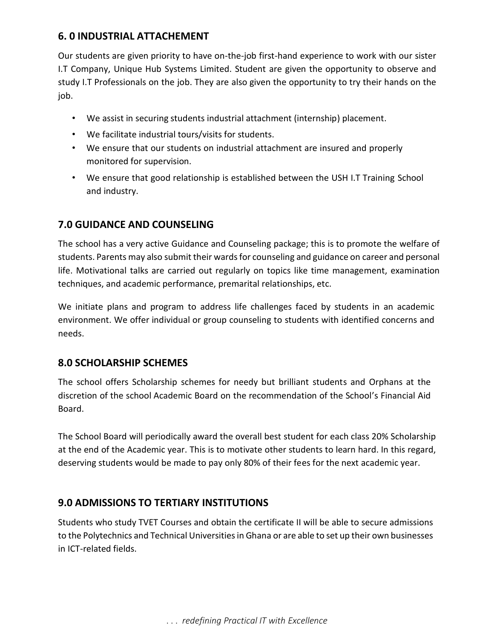## <span id="page-5-0"></span>**6. 0 INDUSTRIAL ATTACHEMENT**

Our students are given priority to have on-the-job first-hand experience to work with our sister I.T Company, Unique Hub Systems Limited. Student are given the opportunity to observe and study I.T Professionals on the job. They are also given the opportunity to try their hands on the job.

- We assist in securing students industrial attachment (internship) placement.
- We facilitate industrial tours/visits for students.
- We ensure that our students on industrial attachment are insured and properly monitored for supervision.
- We ensure that good relationship is established between the USH I.T Training School and industry.

## <span id="page-5-1"></span>**7.0 GUIDANCE AND COUNSELING**

The school has a very active Guidance and Counseling package; this is to promote the welfare of students. Parents may also submit their wards for counseling and guidance on career and personal life. Motivational talks are carried out regularly on topics like time management, examination techniques, and academic performance, premarital relationships, etc.

We initiate plans and program to address life challenges faced by students in an academic environment. We offer individual or group counseling to students with identified concerns and needs.

## <span id="page-5-2"></span>**8.0 SCHOLARSHIP SCHEMES**

The school offers Scholarship schemes for needy but brilliant students and Orphans at the discretion of the school Academic Board on the recommendation of the School's Financial Aid Board.

The School Board will periodically award the overall best student for each class 20% Scholarship at the end of the Academic year. This is to motivate other students to learn hard. In this regard, deserving students would be made to pay only 80% of their fees for the next academic year.

## <span id="page-5-3"></span>**9.0 ADMISSIONS TO TERTIARY INSTITUTIONS**

Students who study TVET Courses and obtain the certificate II will be able to secure admissions to the Polytechnics and Technical Universities in Ghana or are able to set up their own businesses in ICT-related fields.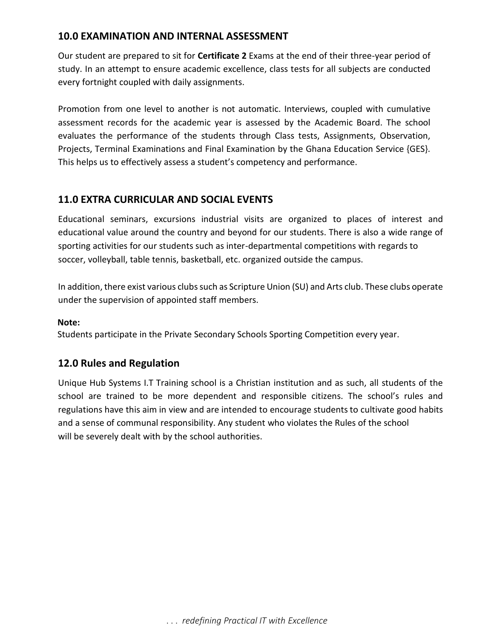## <span id="page-6-0"></span>**10.0 EXAMINATION AND INTERNAL ASSESSMENT**

Our student are prepared to sit for **Certificate 2** Exams at the end of their three-year period of study. In an attempt to ensure academic excellence, class tests for all subjects are conducted every fortnight coupled with daily assignments.

Promotion from one level to another is not automatic. Interviews, coupled with cumulative assessment records for the academic year is assessed by the Academic Board. The school evaluates the performance of the students through Class tests, Assignments, Observation, Projects, Terminal Examinations and Final Examination by the Ghana Education Service {GES}. This helps us to effectively assess a student's competency and performance.

## <span id="page-6-1"></span>**11.0 EXTRA CURRICULAR AND SOCIAL EVENTS**

Educational seminars, excursions industrial visits are organized to places of interest and educational value around the country and beyond for our students. There is also a wide range of sporting activities for our students such as inter-departmental competitions with regards to soccer, volleyball, table tennis, basketball, etc. organized outside the campus.

In addition, there exist various clubs such as Scripture Union (SU) and Arts club. These clubs operate under the supervision of appointed staff members.

#### **Note:**

Students participate in the Private Secondary Schools Sporting Competition every year.

#### <span id="page-6-2"></span>**12.0 Rules and Regulation**

Unique Hub Systems I.T Training school is a Christian institution and as such, all students of the school are trained to be more dependent and responsible citizens. The school's rules and regulations have this aim in view and are intended to encourage students to cultivate good habits and a sense of communal responsibility. Any student who violates the Rules of the school will be severely dealt with by the school authorities.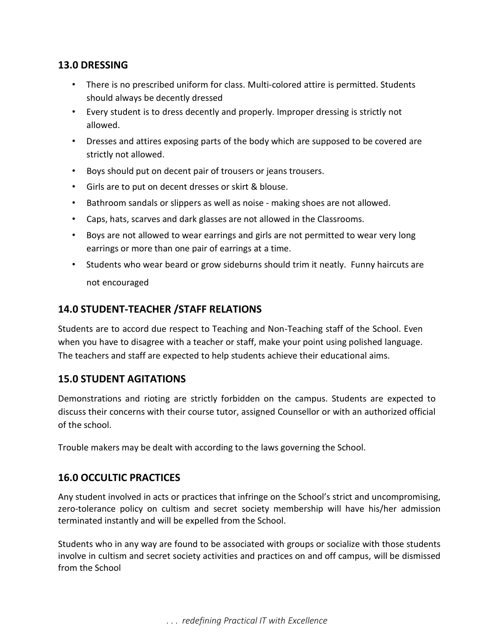## <span id="page-7-0"></span>**13.0 DRESSING**

- There is no prescribed uniform for class. Multi-colored attire is permitted. Students should always be decently dressed
- Every student is to dress decently and properly. Improper dressing is strictly not allowed.
- Dresses and attires exposing parts of the body which are supposed to be covered are strictly not allowed.
- Boys should put on decent pair of trousers or jeans trousers.
- Girls are to put on decent dresses or skirt & blouse.
- Bathroom sandals or slippers as well as noise making shoes are not allowed.
- Caps, hats, scarves and dark glasses are not allowed in the Classrooms.
- Boys are not allowed to wear earrings and girls are not permitted to wear very long earrings or more than one pair of earrings at a time.
- Students who wear beard or grow sideburns should trim it neatly. Funny haircuts are not encouraged

## <span id="page-7-1"></span>**14.0 STUDENT-TEACHER /STAFF RELATIONS**

Students are to accord due respect to Teaching and Non-Teaching staff of the School. Even when you have to disagree with a teacher or staff, make your point using polished language. The teachers and staff are expected to help students achieve their educational aims.

## <span id="page-7-2"></span>**15.0 STUDENT AGITATIONS**

Demonstrations and rioting are strictly forbidden on the campus. Students are expected to discuss their concerns with their course tutor, assigned Counsellor or with an authorized official of the school.

Trouble makers may be dealt with according to the laws governing the School.

## <span id="page-7-3"></span>**16.0 OCCULTIC PRACTICES**

Any student involved in acts or practices that infringe on the School's strict and uncompromising, zero-tolerance policy on cultism and secret society membership will have his/her admission terminated instantly and will be expelled from the School.

Students who in any way are found to be associated with groups or socialize with those students involve in cultism and secret society activities and practices on and off campus, will be dismissed from the School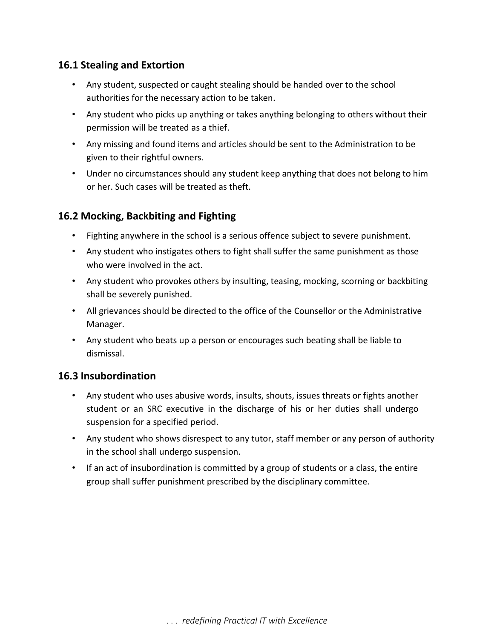## <span id="page-8-0"></span>**16.1 Stealing and Extortion**

- Any student, suspected or caught stealing should be handed over to the school authorities for the necessary action to be taken.
- Any student who picks up anything or takes anything belonging to others without their permission will be treated as a thief.
- Any missing and found items and articles should be sent to the Administration to be given to their rightful owners.
- Under no circumstances should any student keep anything that does not belong to him or her. Such cases will be treated as theft.

## <span id="page-8-1"></span>**16.2 Mocking, Backbiting and Fighting**

- Fighting anywhere in the school is a serious offence subject to severe punishment.
- Any student who instigates others to fight shall suffer the same punishment as those who were involved in the act.
- Any student who provokes others by insulting, teasing, mocking, scorning or backbiting shall be severely punished.
- All grievances should be directed to the office of the Counsellor or the Administrative Manager.
- Any student who beats up a person or encourages such beating shall be liable to dismissal.

## <span id="page-8-2"></span>**16.3 Insubordination**

- Any student who uses abusive words, insults, shouts, issues threats or fights another student or an SRC executive in the discharge of his or her duties shall undergo suspension for a specified period.
- Any student who shows disrespect to any tutor, staff member or any person of authority in the school shall undergo suspension.
- If an act of insubordination is committed by a group of students or a class, the entire group shall suffer punishment prescribed by the disciplinary committee.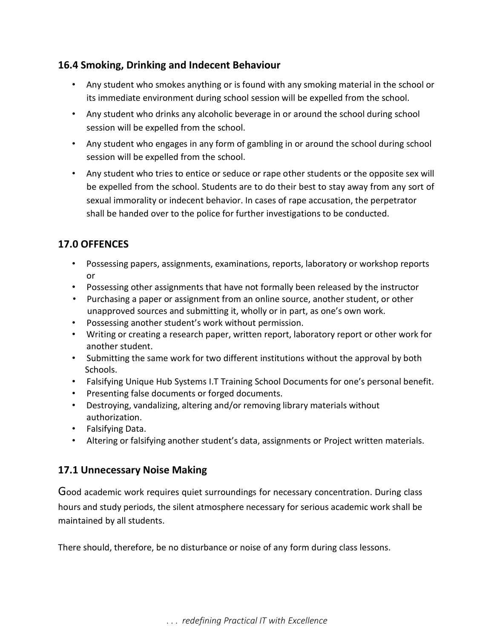## <span id="page-9-0"></span>**16.4 Smoking, Drinking and Indecent Behaviour**

- Any student who smokes anything or is found with any smoking material in the school or its immediate environment during school session will be expelled from the school.
- Any student who drinks any alcoholic beverage in or around the school during school session will be expelled from the school.
- Any student who engages in any form of gambling in or around the school during school session will be expelled from the school.
- Any student who tries to entice or seduce or rape other students or the opposite sex will be expelled from the school. Students are to do their best to stay away from any sort of sexual immorality or indecent behavior. In cases of rape accusation, the perpetrator shall be handed over to the police for further investigations to be conducted.

## <span id="page-9-1"></span>**17.0 OFFENCES**

- Possessing papers, assignments, examinations, reports, laboratory or workshop reports or
- Possessing other assignments that have not formally been released by the instructor
- Purchasing a paper or assignment from an online source, another student, or other unapproved sources and submitting it, wholly or in part, as one's own work.
- Possessing another student's work without permission.
- Writing or creating a research paper, written report, laboratory report or other work for another student.
- Submitting the same work for two different institutions without the approval by both Schools.
- Falsifying Unique Hub Systems I.T Training School Documents for one's personal benefit.
- Presenting false documents or forged documents.
- Destroying, vandalizing, altering and/or removing library materials without authorization.
- Falsifying Data.
- Altering or falsifying another student's data, assignments or Project written materials.

## <span id="page-9-2"></span>**17.1 Unnecessary Noise Making**

Good academic work requires quiet surroundings for necessary concentration. During class hours and study periods, the silent atmosphere necessary for serious academic work shall be maintained by all students.

There should, therefore, be no disturbance or noise of any form during class lessons.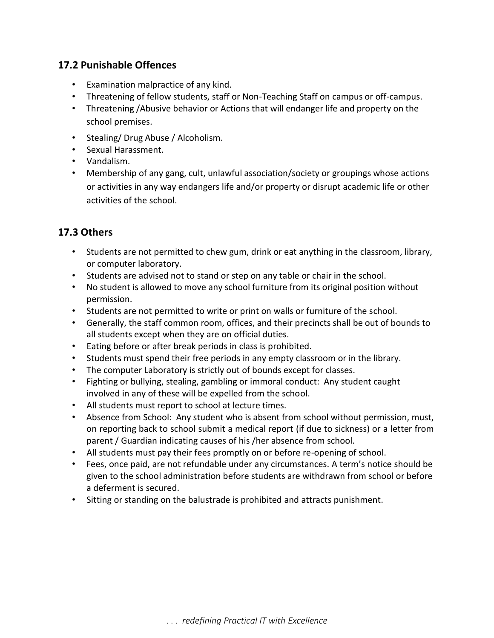## <span id="page-10-0"></span>**17.2 Punishable Offences**

- Examination malpractice of any kind.
- Threatening of fellow students, staff or Non-Teaching Staff on campus or off-campus.
- Threatening /Abusive behavior or Actions that will endanger life and property on the school premises.
- Stealing/ Drug Abuse / Alcoholism.
- Sexual Harassment.
- Vandalism.
- Membership of any gang, cult, unlawful association/society or groupings whose actions or activities in any way endangers life and/or property or disrupt academic life or other activities of the school.

#### <span id="page-10-1"></span>**17.3 Others**

- Students are not permitted to chew gum, drink or eat anything in the classroom, library, or computer laboratory.
- Students are advised not to stand or step on any table or chair in the school.
- No student is allowed to move any school furniture from its original position without permission.
- Students are not permitted to write or print on walls or furniture of the school.
- Generally, the staff common room, offices, and their precincts shall be out of bounds to all students except when they are on official duties.
- Eating before or after break periods in class is prohibited.
- Students must spend their free periods in any empty classroom or in the library.
- The computer Laboratory is strictly out of bounds except for classes.
- Fighting or bullying, stealing, gambling or immoral conduct: Any student caught involved in any of these will be expelled from the school.
- All students must report to school at lecture times.
- Absence from School: Any student who is absent from school without permission, must, on reporting back to school submit a medical report (if due to sickness) or a letter from parent / Guardian indicating causes of his /her absence from school.
- All students must pay their fees promptly on or before re-opening of school.
- Fees, once paid, are not refundable under any circumstances. A term's notice should be given to the school administration before students are withdrawn from school or before a deferment is secured.
- Sitting or standing on the balustrade is prohibited and attracts punishment.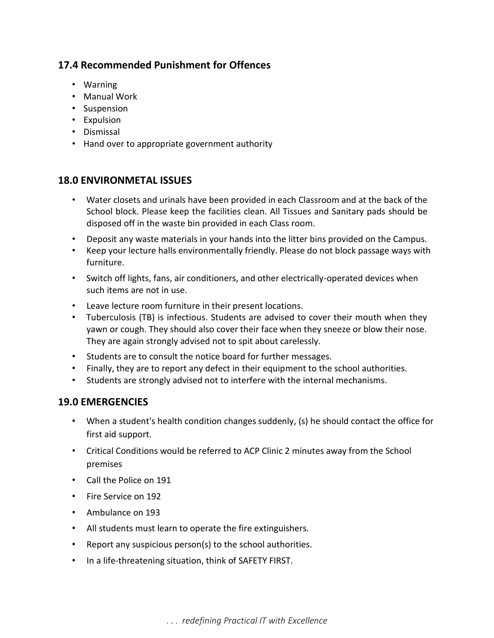## <span id="page-11-0"></span>**17.4 Recommended Punishment for Offences**

- Warning
- Manual Work
- Suspension
- Expulsion
- Dismissal
- Hand over to appropriate government authority

#### <span id="page-11-1"></span>**18.0 ENVIRONMETAL ISSUES**

- Water closets and urinals have been provided in each Classroom and at the back of the School block. Please keep the facilities clean. All Tissues and Sanitary pads should be disposed off in the waste bin provided in each Class room.
- Deposit any waste materials in your hands into the litter bins provided on the Campus.
- Keep your lecture halls environmentally friendly. Please do not block passage ways with furniture.
- Switch off lights, fans, air conditioners, and other electrically-operated devices when such items are not in use.
- Leave lecture room furniture in their present locations.
- Tuberculosis (TB) is infectious. Students are advised to cover their mouth when they yawn or cough. They should also cover their face when they sneeze or blow their nose. They are again strongly advised not to spit about carelessly.
- Students are to consult the notice board for further messages.
- Finally, they are to report any defect in their equipment to the school authorities.
- Students are strongly advised not to interfere with the internal mechanisms.

#### <span id="page-11-2"></span>**19.0 EMERGENCIES**

- When a student's health condition changes suddenly, (s) he should contact the office for first aid support.
- Critical Conditions would be referred to ACP Clinic 2 minutes away from the School premises
- Call the Police on 191
- Fire Service on 192
- Ambulance on 193
- All students must learn to operate the fire extinguishers.
- Report any suspicious person(s) to the school authorities.
- In a life-threatening situation, think of SAFETY FIRST.